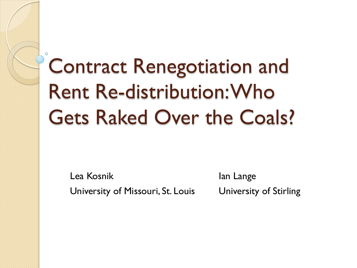# Contract Renegotiation and Rent Re-distribution: Who Gets Raked Over the Coals?

Lea Kosnik University of Missouri, St. Louis

Ian Lange University of Stirling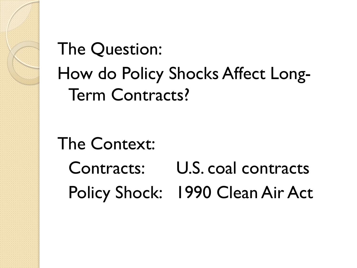## The Question: How do Policy Shocks Affect Long-Term Contracts?

The Context: Contracts: U.S. coal contracts Policy Shock: 1990 Clean Air Act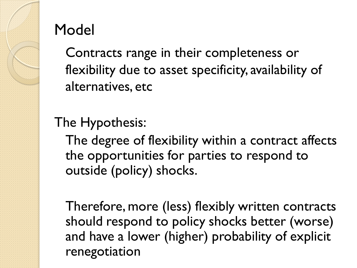

#### Model

Contracts range in their completeness or flexibility due to asset specificity, availability of alternatives, etc

#### The Hypothesis:

The degree of flexibility within a contract affects the opportunities for parties to respond to outside (policy) shocks.

Therefore, more (less) flexibly written contracts should respond to policy shocks better (worse) and have a lower (higher) probability of explicit renegotiation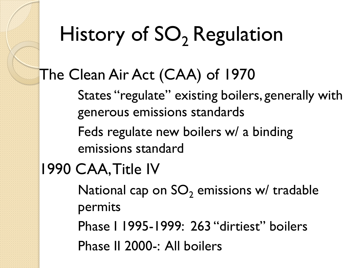# History of SO<sub>2</sub> Regulation

#### The Clean Air Act (CAA) of 1970

States "regulate" existing boilers, generally with generous emissions standards

Feds regulate new boilers w/ a binding emissions standard

#### 1990 CAA, Title IV

National cap on  $SO<sub>2</sub>$  emissions w/ tradable permits

Phase I 1995-1999: 263 "dirtiest" boilers

Phase II 2000-: All boilers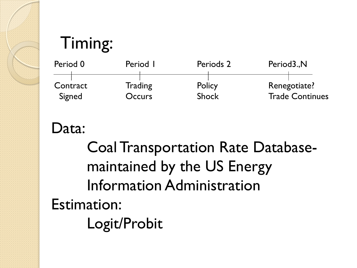### Timing:



Data:

Coal Transportation Rate Databasemaintained by the US Energy Information Administration Estimation: Logit/Probit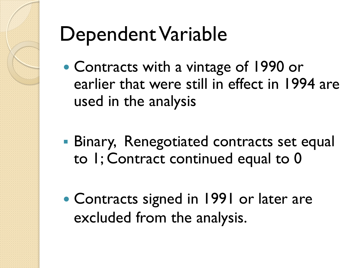

## Dependent Variable

- Contracts with a vintage of 1990 or earlier that were still in effect in 1994 are used in the analysis
- **Binary, Renegotiated contracts set equal** to 1; Contract continued equal to 0
- Contracts signed in 1991 or later are excluded from the analysis.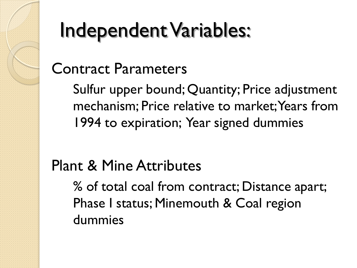## Independent Variables:

#### Contract Parameters

Sulfur upper bound; Quantity; Price adjustment mechanism; Price relative to market; Years from 1994 to expiration; Year signed dummies

#### Plant & Mine Attributes

% of total coal from contract; Distance apart; Phase I status; Minemouth & Coal region dummies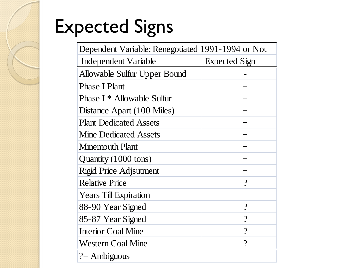## Expected Signs

| Dependent Variable: Renegotiated 1991-1994 or Not |                          |  |
|---------------------------------------------------|--------------------------|--|
| <b>Independent Variable</b>                       | <b>Expected Sign</b>     |  |
| Allowable Sulfur Upper Bound                      |                          |  |
| <b>Phase I Plant</b>                              | $^{+}$                   |  |
| Phase I * Allowable Sulfur                        | $+$                      |  |
| Distance Apart (100 Miles)                        | $^{+}$                   |  |
| <b>Plant Dedicated Assets</b>                     | $^{+}$                   |  |
| <b>Mine Dedicated Assets</b>                      | $^{+}$                   |  |
| Minemouth Plant                                   | $^{+}$                   |  |
| Quantity (1000 tons)                              | $^{+}$                   |  |
| <b>Rigid Price Adjsutment</b>                     | $^{+}$                   |  |
| <b>Relative Price</b>                             | $\overline{\mathcal{C}}$ |  |
| <b>Years Till Expiration</b>                      | $^{+}$                   |  |
| 88-90 Year Signed                                 | $\overline{\mathcal{C}}$ |  |
| 85-87 Year Signed                                 | $\gamma$                 |  |
| <b>Interior Coal Mine</b>                         | $\overline{?}$           |  |
| <b>Western Coal Mine</b>                          | $\gamma$                 |  |
| $? =$ Ambiguous                                   |                          |  |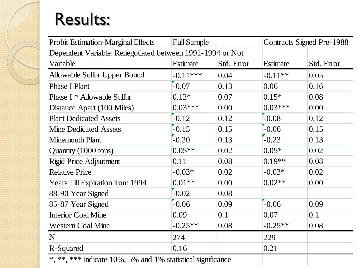#### Results:

| <b>Probit Estimation-Marginal Effects</b>                   | <b>Full Sample</b> |            |           | <b>Contracts Signed Pre-1988</b> |
|-------------------------------------------------------------|--------------------|------------|-----------|----------------------------------|
| Dependent Variable: Renegotiated between 1991-1994 or Not   |                    |            |           |                                  |
| Variable                                                    | Estimate           | Std. Error | Estimate  | Std. Error                       |
| Allowable Sulfur Upper Bound                                | $-0.11***$         | 0.04       | $-0.11**$ | 0.05                             |
| <b>Phase I Plant</b>                                        | $-0.07$            | 0.13       | 0.06      | 0.16                             |
| Phase I * Allowable Sulfur                                  | $0.12*$            | 0.07       | $0.15*$   | 0.08                             |
| Distance Apart (100 Miles)                                  | $0.03***$          | 0.00       | $0.03***$ | 0.00                             |
| <b>Plant Dedicated Assets</b>                               | $-0.12$            | 0.12       | $-0.08$   | 0.12                             |
| <b>Mine Dedicated Assets</b>                                | $-0.15$            | 0.15       | $-0.06$   | 0.15                             |
| <b>Minemouth Plant</b>                                      | $-0.20$            | 0.13       | $-0.23$   | 0.13                             |
| Quantity (1000 tons)                                        | $0.05**$           | 0.02       | $0.05*$   | 0.02                             |
| <b>Rigid Price Adjsutment</b>                               | 0.11               | 0.08       | $0.19**$  | 0.08                             |
| <b>Relative Price</b>                                       | $-0.03*$           | 0.02       | $-0.03*$  | 0.02                             |
| <b>Years Till Expiration from 1994</b>                      | $0.01**$           | 0.00       | $0.02**$  | 0.00                             |
| 88-90 Year Signed                                           | $-0.02$            | 0.08       |           |                                  |
| 85-87 Year Signed                                           | $-0.06$            | 0.09       | $-0.06$   | 0.09                             |
| <b>Interior Coal Mine</b>                                   | 0.09               | 0.1        | 0.07      | 0.1                              |
| <b>Western Coal Mine</b>                                    | $-0.25**$          | 0.08       | $-0.25**$ | 0.08                             |
| N                                                           | 274                |            | 229       |                                  |
| R-Squared                                                   | 0.16               |            | 0.21      |                                  |
| *, **, *** indicate 10%, 5% and 1% statistical significance |                    |            |           |                                  |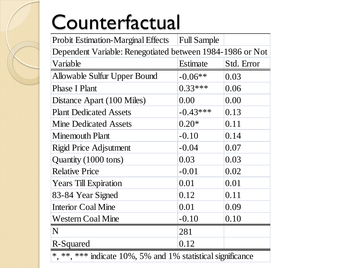# Counterfactual

| <b>Probit Estimation-Marginal Effects</b>                   | <b>Full Sample</b> |            |  |
|-------------------------------------------------------------|--------------------|------------|--|
| Dependent Variable: Renegotiated between 1984-1986 or Not   |                    |            |  |
| Variable                                                    | Estimate           | Std. Error |  |
| <b>Allowable Sulfur Upper Bound</b>                         | $-0.06**$          | 0.03       |  |
| <b>Phase I Plant</b>                                        | $0.33***$          | 0.06       |  |
| Distance Apart (100 Miles)                                  | 0.00               | 0.00       |  |
| <b>Plant Dedicated Assets</b>                               | $-0.43***$         | 0.13       |  |
| <b>Mine Dedicated Assets</b>                                | $0.20*$            | 0.11       |  |
| <b>Minemouth Plant</b>                                      | $-0.10$            | 0.14       |  |
| <b>Rigid Price Adjsutment</b>                               | $-0.04$            | 0.07       |  |
| Quantity (1000 tons)                                        | 0.03               | 0.03       |  |
| <b>Relative Price</b>                                       | $-0.01$            | 0.02       |  |
| <b>Years Till Expiration</b>                                | 0.01               | 0.01       |  |
| 83-84 Year Signed                                           | 0.12               | 0.11       |  |
| <b>Interior Coal Mine</b>                                   | 0.01               | 0.09       |  |
| <b>Western Coal Mine</b>                                    | $-0.10$            | 0.10       |  |
| N                                                           | 281                |            |  |
| R-Squared                                                   | 0.12               |            |  |
| *, **, *** indicate 10%, 5% and 1% statistical significance |                    |            |  |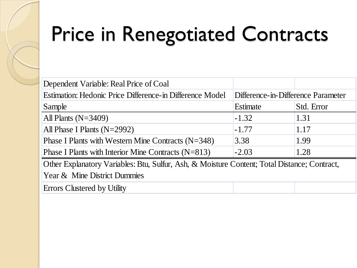# Price in Renegotiated Contracts

| Dependent Variable: Real Price of Coal                                                       |                                    |            |  |
|----------------------------------------------------------------------------------------------|------------------------------------|------------|--|
| Estimation: Hedonic Price Difference-in Difference Model                                     | Difference-in-Difference Parameter |            |  |
| Sample                                                                                       | Estimate                           | Std. Error |  |
| All Plants $(N=3409)$                                                                        | $-1.32$                            | 1.31       |  |
| All Phase I Plants $(N=2992)$                                                                | $-1.77$                            | 1.17       |  |
| Phase I Plants with Western Mine Contracts $(N=348)$                                         | 3.38                               | 1.99       |  |
| Phase I Plants with Interior Mine Contracts $(N=813)$                                        | $-2.03$                            | 1.28       |  |
| Other Explanatory Variables: Btu, Sulfur, Ash, & Moisture Content; Total Distance; Contract, |                                    |            |  |
| Year & Mine District Dummies                                                                 |                                    |            |  |
| Errors Clustered by Utility                                                                  |                                    |            |  |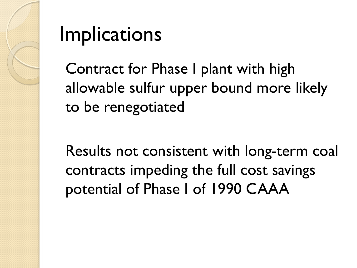

## **Implications**

Contract for Phase I plant with high allowable sulfur upper bound more likely to be renegotiated

Results not consistent with long-term coal contracts impeding the full cost savings potential of Phase I of 1990 CAAA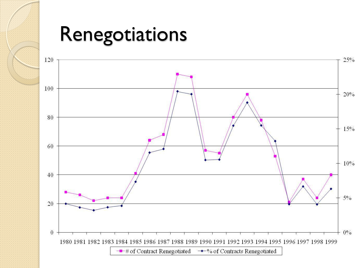#### Renegotiations